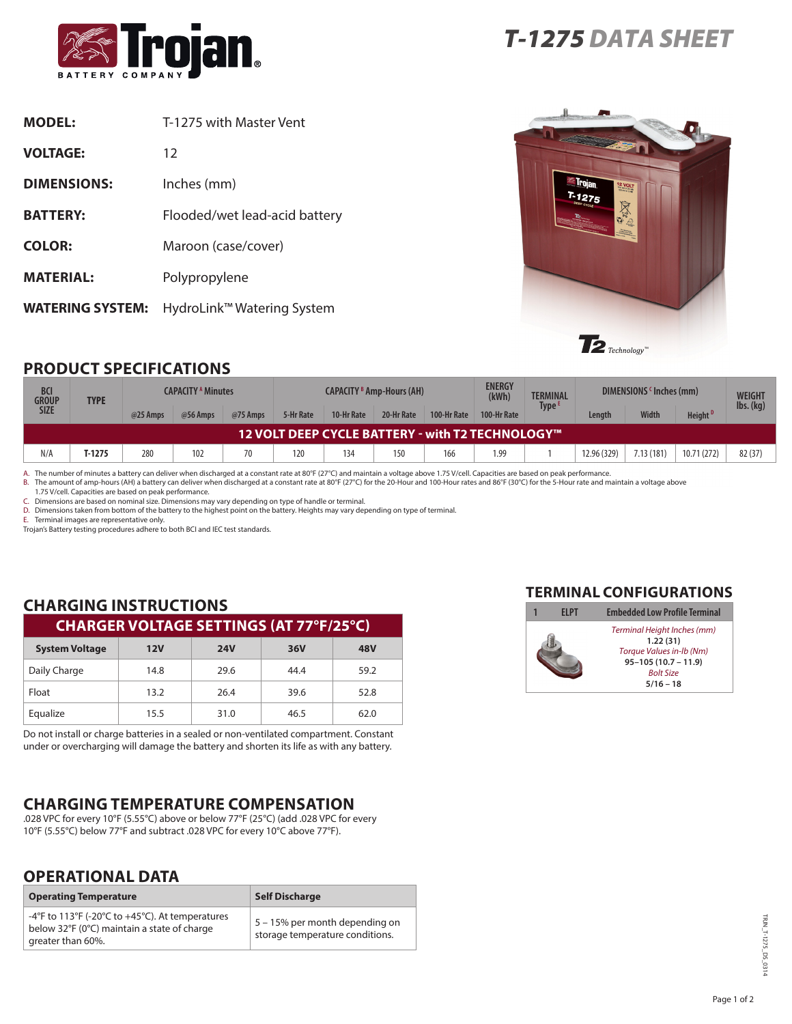

| <b>MODEL:</b>           | T-1275 with Master Vent       |
|-------------------------|-------------------------------|
| <b>VOLTAGE:</b>         | 12                            |
| <b>DIMENSIONS:</b>      | Inches (mm)                   |
| <b>BATTERY:</b>         | Flooded/wet lead-acid battery |
| <b>COLOR:</b>           | Maroon (case/cover)           |
| <b>MATERIAL:</b>        | Polypropylene                 |
| <b>WATERING SYSTEM:</b> | HydroLink™ Watering System    |



# **PRODUCT SPECIFICATIONS**

| <b>BCI</b><br><b>GROUP</b><br><b>SIZE</b>                  | <b>TYPE</b> | <b>CAPACITY A Minutes</b> |          |          | <b>ENERGY</b><br><b>CAPACITY B Amp-Hours (AH)</b><br>(kWh) |            |            |             | <b>TERMINAL</b><br>Type ' |  | DIMENSIONS 'Inches (mm) |              | <b>WEIGHT</b><br>$\mathsf{lbs.}\mathsf{(kg)}$ |        |
|------------------------------------------------------------|-------------|---------------------------|----------|----------|------------------------------------------------------------|------------|------------|-------------|---------------------------|--|-------------------------|--------------|-----------------------------------------------|--------|
|                                                            |             | @25 Amps                  | @56 Amps | @75 Amps | 5-Hr Rate                                                  | 10-Hr Rate | 20-Hr Rate | 100-Hr Rate | 100-Hr Rate               |  | Length                  | <b>Width</b> | Height <sup>D</sup>                           |        |
| $^\prime$ 12 VOLT DEEP CYCLE BATTERY - with T2 TECHNOLOGY™ |             |                           |          |          |                                                            |            |            |             |                           |  |                         |              |                                               |        |
| N/A                                                        | T-1275      | 280                       | 102      | 70       | 120                                                        | 134        | 150        | 166         | 1.99                      |  | 12.96 (329)             | 7.13 (181)   | 10.71 (272)                                   | 82(37) |

A. The number of minutes a battery can deliver when discharged at a constant rate at 80°F (27°C) and maintain a voltage above 1.75 V/cell. Capacities are based on peak performance.<br>B. The amount of amp-hours (AH) a battery

1.75 V/cell. Capacities are based on peak performance.

C. Dimensions are based on nominal size. Dimensions may vary depending on type of handle or terminal.

D. Dimensions taken from bottom of the battery to the highest point on the battery. Heights may vary depending on type of terminal.

E. Terminal images are representative only.

Trojan's Battery testing procedures adhere to both BCI and IEC test standards.

#### **CHARGING INSTRUCTIONS CHARGER VOLTAGE SETTINGS (AT 77°F/25°C)**

| <b>System Voltage</b> | 12V  | <b>24V</b> | 36V  | <b>48V</b> |
|-----------------------|------|------------|------|------------|
| Daily Charge          | 14.8 | 29.6       | 44.4 | 59.2       |
| Float                 | 13.2 | 26.4       | 39.6 | 52.8       |
| Equalize              | 15.5 | 31.0       | 46.5 | 62.0       |

Do not install or charge batteries in a sealed or non-ventilated compartment. Constant under or overcharging will damage the battery and shorten its life as with any battery.

# **CHARGING TEMPERATURE COMPENSATION**

.028 VPC for every 10°F (5.55°C) above or below 77°F (25°C) (add .028 VPC for every 10°F (5.55°C) below 77°F and subtract .028 VPC for every 10°C above 77°F).

### **OPERATIONAL DATA**

| <b>Operating Temperature</b>                                                                                        | <b>Self Discharge</b>                                             |  |  |  |
|---------------------------------------------------------------------------------------------------------------------|-------------------------------------------------------------------|--|--|--|
| -4°F to 113°F (-20°C to +45°C). At temperatures<br>below 32°F (0°C) maintain a state of charge<br>greater than 60%. | 5 – 15% per month depending on<br>storage temperature conditions. |  |  |  |

#### **TERMINAL CONFIGURATIONS**